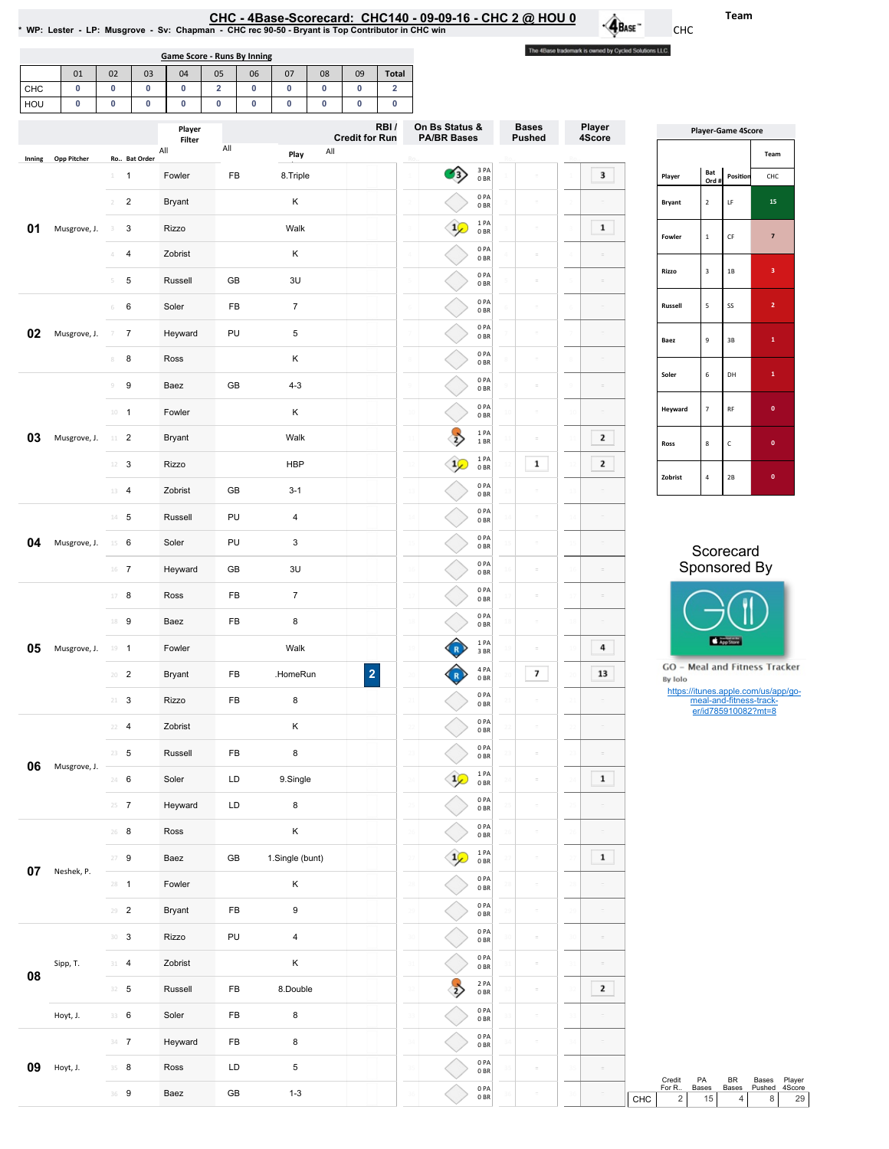| CHC - 4Base-Scorecard: CHC140 - 09-09-16 - CHC 2 @ HOU 0                                       |  |
|------------------------------------------------------------------------------------------------|--|
| NP: Lester - LP: Musgrove - Sv: Chapman - CHC rec 90-50 - Bryant is Top Contributor in CHC win |  |

Game Score - Runs By Inning

The 4Base trademark is owned by Cycled Solutions LLC.

 $\cdot \mathbf{Q}_{\text{Base}}$ 

|            | 01             | 02                               | 03             | 04               | 05                           | 06     | 07              | 08                     | 09                    | <b>Total</b>                 |                 |                                      |                                         |                               |                  |   |
|------------|----------------|----------------------------------|----------------|------------------|------------------------------|--------|-----------------|------------------------|-----------------------|------------------------------|-----------------|--------------------------------------|-----------------------------------------|-------------------------------|------------------|---|
| CHC<br>HOU | 0<br>$\pmb{0}$ | $\pmb{0}$<br>0                   | 0<br>$\pmb{0}$ | 0<br>0           | $\overline{\mathbf{2}}$<br>0 | 0<br>0 | 0<br>0          | $\pmb{0}$<br>$\pmb{0}$ | 0<br>0                | $\overline{\mathbf{2}}$<br>0 |                 |                                      |                                         |                               |                  |   |
|            |                |                                  |                | Player<br>Filter |                              |        |                 |                        | <b>Credit for Run</b> | RBI/                         |                 | On Bs Status &<br><b>PA/BR Bases</b> |                                         | <b>Bases</b><br><b>Pushed</b> | Player<br>4Score |   |
| Inning     | Opp Pitcher    |                                  | Ro Bat Order   | All              | All                          |        | Play            | All                    |                       |                              |                 |                                      |                                         |                               |                  |   |
|            |                | $\mathbf{1}$<br>$\perp$          |                | Fowler           | FB                           |        | 8.Triple        |                        |                       |                              |                 | з                                    | 3 PA<br>0BR                             | $\equiv$                      | 3                | P |
|            |                | $\overline{c}$<br>$\overline{2}$ |                | Bryant           |                              |        | Κ               |                        |                       |                              |                 |                                      | 0PA<br>0 BR                             | $=$                           |                  | B |
| 01         | Musgrove, J.   | 3<br>3                           |                | Rizzo            |                              |        | Walk            |                        |                       |                              |                 | $1\sqrt{ }$                          | 1PA<br>0 BR                             | $\bar{a}$                     | $\mathbf{1}$     | F |
|            |                | $\overline{\mathbf{4}}$<br>4     |                | Zobrist          |                              |        | Κ               |                        |                       |                              | 4               |                                      | 0PA<br>0BR                              | $=$                           |                  |   |
|            |                | $\mathbf 5$<br>5                 |                | Russell          | GB                           |        | 3U              |                        |                       |                              |                 |                                      | 0 PA<br>0 BR                            | $\equiv$                      |                  |   |
|            |                | 6<br>$\,$ 6 $\,$                 |                | Soler            | FB                           |        | $\overline{7}$  |                        |                       |                              | 6               |                                      | 0PA<br>0BR                              | $=$                           |                  |   |
| 02         | Musgrove, J.   | $\overline{7}$<br>7              |                | Heyward          | PU                           |        | 5               |                        |                       |                              |                 |                                      | 0PA<br>0BR                              | $\equiv$                      | Ξ                | B |
|            |                | 8<br>$\scriptstyle\rm 8$         |                | Ross             |                              |        | Κ               |                        |                       |                              | 8               |                                      | 0PA<br>0BR                              | $=$                           |                  |   |
|            |                | $\mathcal G$<br>9                |                | Baez             | GB                           |        | $4 - 3$         |                        |                       |                              | 9.              |                                      | 0PA<br>0BR                              | $\equiv$                      | ö                | S |
|            |                | $10 - 1$                         |                | Fowler           |                              |        | Κ               |                        |                       |                              | 10              |                                      | 0PA<br>0B                               | $=$                           | $\equiv$         | H |
| 03         | Musgrove, J.   | $11$ 2                           |                | Bryant           |                              |        | Walk            |                        |                       |                              | 11              | $\overline{2}$                       | 1PA<br>1 BR                             | $\equiv$                      | 2                |   |
|            |                | 12<br>3                          |                | Rizzo            |                              |        | <b>HBP</b>      |                        |                       |                              | 11              |                                      | 1PA<br>0BR                              | $\mathbf{1}$                  | 2                |   |
|            |                | 13 4                             |                | Zobrist          | GB                           |        | $3 - 1$         |                        |                       |                              | 13              |                                      | 0PA<br>0B                               | $\equiv$                      |                  | Z |
|            |                | $14$ 5                           |                | Russell          | PU                           |        | 4               |                        |                       |                              | 14              |                                      | 0 PA<br>0B                              | $\equiv$                      |                  |   |
| 04         | Musgrove, J.   | $15 \t 6$                        |                | Soler            | PU                           |        | 3               |                        |                       |                              | 15              |                                      | 0PA<br>0B                               | $\equiv$                      |                  |   |
|            |                | $16$ 7                           |                | Heyward          | GB                           |        | 3U              |                        |                       |                              | 16              |                                      | 0 PA<br>$0\;\ensuremath{\mathsf{BR}}$   | $\overline{\phantom{a}}$      |                  |   |
|            |                | $17 - 8$                         |                | Ross             | FB                           |        | $\overline{7}$  |                        |                       |                              | 11              |                                      | 0 PA<br>0B                              | $\equiv$                      |                  |   |
|            |                | 18 9                             |                | Baez             | FB                           |        | 8               |                        |                       |                              | 18              |                                      | 0 PA<br>$0\;\mathrm{BR}$                | $\equiv$                      |                  |   |
| 05         | Musgrove, J.   | $19 - 1$                         |                | Fowler           |                              |        | Walk            |                        |                       |                              | 19              |                                      | 1PA<br>3 BR                             | $\equiv$                      | 4                |   |
|            |                | $20 - 2$                         |                | Bryant           | FB                           |        | .HomeRun        |                        |                       | $\overline{\mathbf{c}}$      | $\overline{20}$ |                                      | 4 PA<br>0B                              | $\overline{\phantom{a}}$      | 13               |   |
|            |                | 21<br>3                          |                | Rizzo            | FB                           |        | 8               |                        |                       |                              |                 |                                      | 0 PA<br>0B                              |                               |                  |   |
|            |                | $22 - 4$                         |                | Zobrist          |                              |        | Κ               |                        |                       |                              |                 |                                      | $0$ PA<br>0 B R                         |                               |                  |   |
|            |                | $23 \t 5$                        |                | Russell          | FB                           |        | 8               |                        |                       |                              | $\overline{23}$ |                                      | 0PA<br>0 B R                            | $\equiv$                      |                  |   |
| 06         | Musgrove, J.   | 24 6                             |                | Soler            | LD                           |        | 9.Single        |                        |                       |                              | $\overline{24}$ | $\frac{1}{2}$                        | $1\ \mathsf{PA}$<br>$0\;\mathrm{BR}$    | $\equiv$                      | $\mathbf{1}$     |   |
|            |                | $25 \t 7$                        |                | Heyward          | LD                           |        | 8               |                        |                       |                              | $\overline{25}$ |                                      | 0PA<br>$0\;\mathrm{BR}$                 | $\equiv$                      |                  |   |
|            |                | $26$ 8                           |                | Ross             |                              |        | Κ               |                        |                       |                              | 26              |                                      | $0$ PA<br>$0\;\ensuremath{\mathsf{BR}}$ | $\equiv$                      |                  |   |
|            |                | $27 - 9$                         |                | Baez             | GB                           |        | 1.Single (bunt) |                        |                       |                              | 27              | $\frac{1}{2}$                        | $1\ \mathsf{PA}$<br>$0\;\mathrm{BR}$    | $\equiv$                      | $\mathbf{1}$     |   |
| 07         | Neshek, P.     | $28 - 1$                         |                | Fowler           |                              |        | Κ               |                        |                       |                              | 28              |                                      | $0$ PA<br>$0\;\ensuremath{\mathsf{BR}}$ | $\equiv$                      |                  |   |
|            |                | $29 - 2$                         |                | Bryant           | FB                           |        | 9               |                        |                       |                              | $^{29}$         |                                      | 0 PA<br>0BR                             | $\equiv$                      | ä,               |   |
|            |                | $\mathbf{30} - \mathbf{3}$       |                | Rizzo            | PU                           |        | 4               |                        |                       |                              | 30              |                                      | 0 PA<br>$0\;\mathrm{BR}$                | $\equiv$                      |                  |   |
|            | Sipp, T.       | $31 - 4$                         |                | Zobrist          |                              |        | Κ               |                        |                       |                              | 31              |                                      | 0 PA<br>$0\;\ensuremath{\mathsf{BR}}$   | $\equiv$                      | $\overline{a}$   |   |
| 08         |                | $32 - 5$                         |                | Russell          | FB                           |        | 8.Double        |                        |                       |                              | 32              | $\overline{2}$                       | 2 PA<br>0BR                             | $\equiv$                      | $\mathbf{2}$     |   |
|            | Hoyt, J.       | 33 6                             |                | Soler            | FB                           |        | 8               |                        |                       |                              | 33              |                                      | 0 PA<br>0B                              | $\equiv$                      |                  |   |
|            |                | $34 - 7$                         |                | Heyward          | FB                           |        | 8               |                        |                       |                              | 34              |                                      | 0 PA<br>0BR                             | $\equiv$                      | $\overline{a}$   |   |
| 09         | Hoyt, J.       | $35 - 8$                         |                | Ross             | LD                           |        | $\,$ 5 $\,$     |                        |                       |                              | 35              |                                      | 0PA<br>0B                               | $\equiv$                      | $\overline{a}$   |   |

36

0PA 0BR

36

 $\sim$ 

36

36 9 Baez GB 1-3

| <b>Player-Game 4Score</b> |                             |           |                |  |  |  |  |  |  |  |
|---------------------------|-----------------------------|-----------|----------------|--|--|--|--|--|--|--|
|                           |                             |           | Team           |  |  |  |  |  |  |  |
| Player                    | Bat<br>$\frac{1}{\sqrt{2}}$ | Position  | CHC            |  |  |  |  |  |  |  |
| <b>Bryant</b>             | $\overline{2}$              | LF        | 15             |  |  |  |  |  |  |  |
| Fowler                    | $\overline{1}$              | CF        | $\overline{7}$ |  |  |  |  |  |  |  |
| Rizzo                     | $\overline{\mathbf{3}}$     | 1B        | 3              |  |  |  |  |  |  |  |
| <b>Russell</b>            | 5                           | SS        | $\overline{2}$ |  |  |  |  |  |  |  |
| Baez                      | 9                           | 3B        | $\mathbf{1}$   |  |  |  |  |  |  |  |
| Soler                     | 6                           | DH        | $\mathbf{1}$   |  |  |  |  |  |  |  |
| Heyward                   | $\overline{7}$              | <b>RF</b> | Ō              |  |  |  |  |  |  |  |
| Ross                      | 8                           | C         | $\mathbf{0}$   |  |  |  |  |  |  |  |
| Zobrist                   | 4                           | 2B        | $\mathbf{0}$   |  |  |  |  |  |  |  |

### Scorecard Sponsored By



GO - Meal and Fitness Tracker By Iolo

https://itunes.apple.com/us/app/go-meal-and-fitness-track-er/id785910082?mt=8

Team

CHC

Credit PA BR Bases Player<br>
For R... Bases Bases Pushed 4Score<br>
CHC 2 15 4 8 29 PA Bases BR Bases Bases Pushed Player 4Score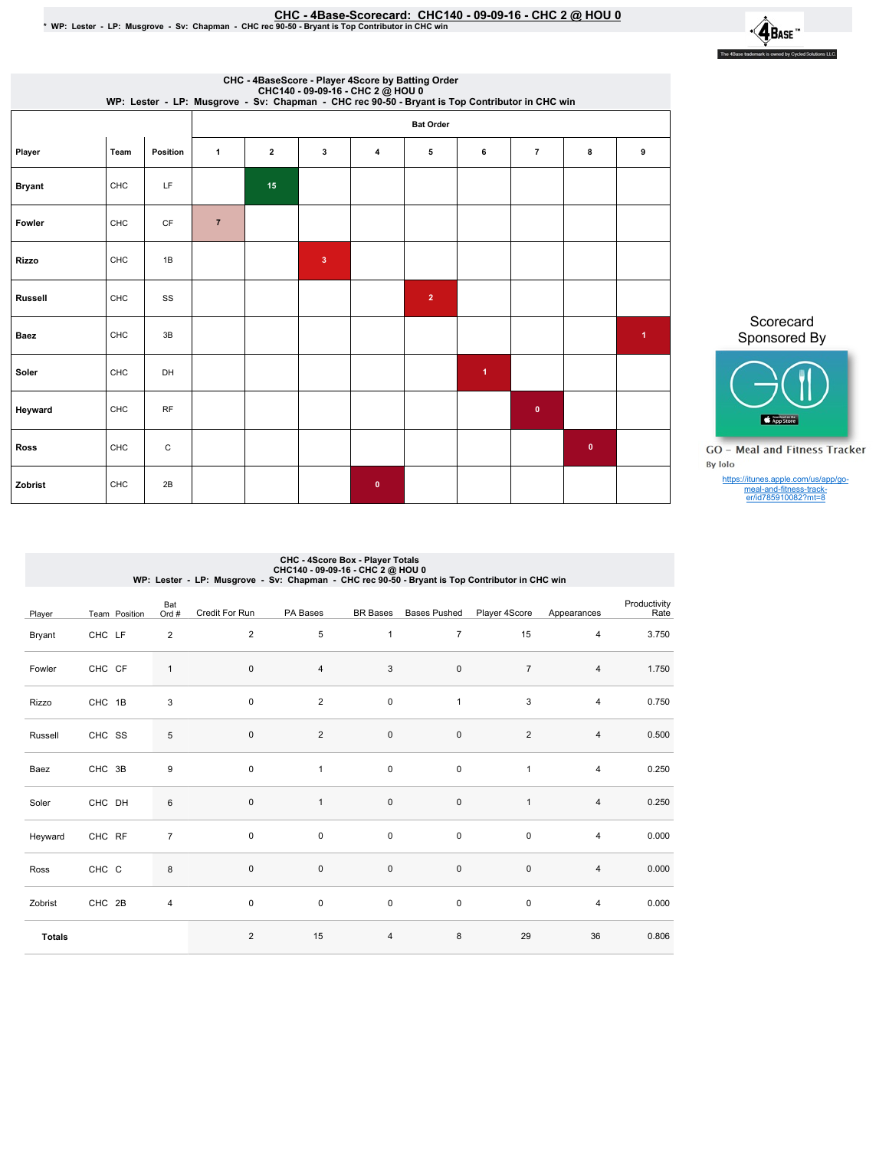

 $\cdot \mathbf{A}_{\text{Base}}$ The 4Base trademark is owned by Cycled Solutions LLC.

|                | CHC - 4BaseScore - Player 4Score by Batting Order<br>CHC140 - 09-09-16 - CHC 2 @ HOU 0<br>WP: Lester - LP: Musgrove - Sv: Chapman - CHC rec 90-50 - Bryant is Top Contributor in CHC win |              |                |                  |                         |              |                |              |                |             |                      |  |  |
|----------------|------------------------------------------------------------------------------------------------------------------------------------------------------------------------------------------|--------------|----------------|------------------|-------------------------|--------------|----------------|--------------|----------------|-------------|----------------------|--|--|
|                |                                                                                                                                                                                          |              |                | <b>Bat Order</b> |                         |              |                |              |                |             |                      |  |  |
| Player         | Team                                                                                                                                                                                     | Position     | $\mathbf{1}$   | $\mathbf{2}$     | 3                       | 4            | 5              | 6            | $\overline{7}$ | 8           | 9                    |  |  |
| <b>Bryant</b>  | CHC                                                                                                                                                                                      | LF           |                | 15               |                         |              |                |              |                |             |                      |  |  |
| Fowler         | CHC                                                                                                                                                                                      | CF           | $\overline{7}$ |                  |                         |              |                |              |                |             |                      |  |  |
| <b>Rizzo</b>   | CHC                                                                                                                                                                                      | 1B           |                |                  | $\overline{\mathbf{3}}$ |              |                |              |                |             |                      |  |  |
| <b>Russell</b> | CHC                                                                                                                                                                                      | SS           |                |                  |                         |              | $\overline{2}$ |              |                |             |                      |  |  |
| <b>Baez</b>    | CHC                                                                                                                                                                                      | 3B           |                |                  |                         |              |                |              |                |             | $\blacktriangleleft$ |  |  |
| Soler          | CHC                                                                                                                                                                                      | DH           |                |                  |                         |              |                | $\mathbf{1}$ |                |             |                      |  |  |
| Heyward        | CHC                                                                                                                                                                                      | RF           |                |                  |                         |              |                |              | $\bullet$      |             |                      |  |  |
| <b>Ross</b>    | CHC                                                                                                                                                                                      | $\mathsf{C}$ |                |                  |                         |              |                |              |                | $\mathbf 0$ |                      |  |  |
| Zobrist        | CHC                                                                                                                                                                                      | 2B           |                |                  |                         | $\mathbf{0}$ |                |              |                |             |                      |  |  |



Scorecard

**GO** - Meal and Fitness Tracker By Iolo

https://itunes.apple.com/us/app/go-meal-and-fitness-track-er/id785910082?mt=8

# CHC - 4Score Box - Player Totals<br>CHC - 14Score Box - Player Total<br>WP: Lester - LP: Musgrove - Sv: Chapman - CHC rec 90-50 - Bryant is Top Contributor in CHC win

| Player        |        | Team Position | Bat<br>Ord #   | Credit For Run          | PA Bases       | BR Bases     | <b>Bases Pushed</b> | Player 4Score  | Appearances    | Productivity<br>Rate |
|---------------|--------|---------------|----------------|-------------------------|----------------|--------------|---------------------|----------------|----------------|----------------------|
| Bryant        | CHC LF |               | 2              | $\overline{2}$          | 5              | $\mathbf{1}$ | $\overline{7}$      | 15             | $\overline{4}$ | 3.750                |
| Fowler        | CHC CF |               | $\mathbf{1}$   | $\pmb{0}$               | 4              | 3            | $\mathsf 0$         | $\overline{7}$ | $\overline{4}$ | 1.750                |
| Rizzo         | CHC 1B |               | 3              | $\pmb{0}$               | $\overline{2}$ | $\pmb{0}$    | $\mathbf{1}$        | 3              | $\overline{4}$ | 0.750                |
| Russell       | CHC SS |               | $\,$ 5 $\,$    | $\mathbf 0$             | $\overline{2}$ | $\mathbf 0$  | $\mathsf 0$         | 2              | $\overline{4}$ | 0.500                |
| Baez          | CHC 3B |               | 9              | $\pmb{0}$               | $\mathbf{1}$   | $\mathsf 0$  | $\pmb{0}$           | $\mathbf{1}$   | $\overline{4}$ | 0.250                |
| Soler         | CHC DH |               | $\,6$          | $\mathbf 0$             | $\mathbf{1}$   | $\mathsf 0$  | $\mathsf 0$         | $\mathbf{1}$   | $\overline{4}$ | 0.250                |
| Heyward       | CHC RF |               | $\overline{7}$ | $\pmb{0}$               | $\pmb{0}$      | 0            | $\pmb{0}$           | $\mathsf 0$    | $\overline{4}$ | 0.000                |
| Ross          | CHC C  |               | 8              | $\mathbf 0$             | $\mathbf 0$    | $\mathsf 0$  | $\pmb{0}$           | $\mathsf 0$    | $\sqrt{4}$     | 0.000                |
| Zobrist       | CHC 2B |               | $\overline{4}$ | $\pmb{0}$               | $\mathbf 0$    | 0            | $\pmb{0}$           | $\pmb{0}$      | $\overline{4}$ | 0.000                |
| <b>Totals</b> |        |               |                | $\overline{\mathbf{c}}$ | 15             | 4            | $\bf 8$             | 29             | 36             | 0.806                |

# EHC - 4Base-Scorecard: CHC140 - 09-09-16 - CHC 2 @ HOU 0 . \* WP: Lester - LP: Musgrove - Sv: Chapman - CHC rec 90-50-Bryant is Top Contributor in CHC win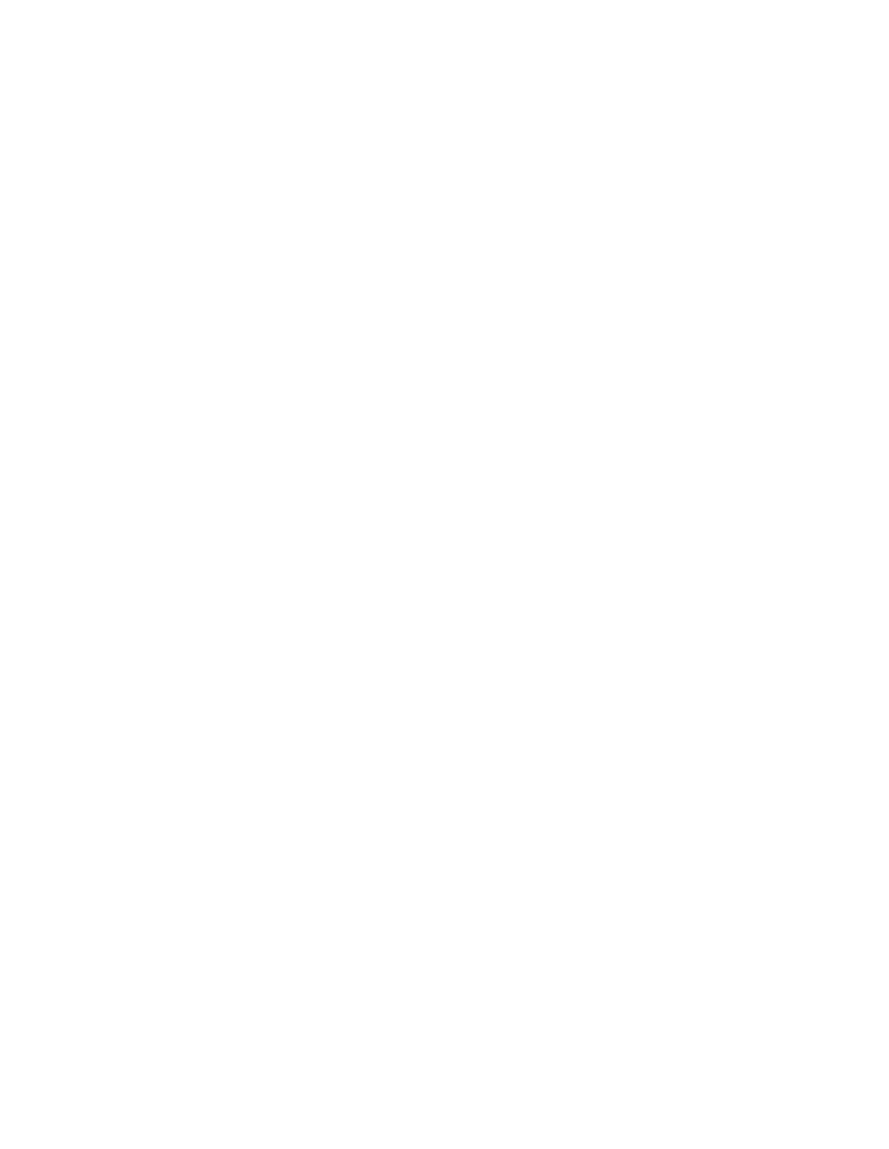|                                                   |  | $8+8$ %DVH6FRUHFDLG $8+8$            |
|---------------------------------------------------|--|--------------------------------------|
| $: 3$ /HMMHJ /3 $0$ XVJURYH 6Y & KDSPDQ & + & UHF |  | % UDOWLY 7RS & ROMMEXWRULD & + & ZLO |
|                                                   |  |                                      |

 $8+8$  # +28

| & + & %DVH6FRUH 30D HU 6FRUHE \%DWLQJ 2 UGHU<br>$8 + 8$<br>$8+8$ # +28               |         |                              |  |  |  |  |           |  |  |  |  |  |  |
|--------------------------------------------------------------------------------------|---------|------------------------------|--|--|--|--|-----------|--|--|--|--|--|--|
| : 3 / HAMMU / 3 0 XVJURYH 6Y & KDSPDQ & + & UHF %UIDQWLV 7RS & RQMLEXWRULQ & + & ZLQ |         |                              |  |  |  |  |           |  |  |  |  |  |  |
|                                                                                      |         |                              |  |  |  |  | %DW2 UGHU |  |  |  |  |  |  |
| 300 HU                                                                               | 7HDP    | 3 RVIMRQ                     |  |  |  |  |           |  |  |  |  |  |  |
| %U DOW                                                                               | $8 + 8$ | $\left( \frac{1}{2} \right)$ |  |  |  |  |           |  |  |  |  |  |  |
| ) RZ OHU                                                                             | $8 + 8$ | &)                           |  |  |  |  |           |  |  |  |  |  |  |
| 5 Y ] R                                                                              | $8 + 8$ | %                            |  |  |  |  |           |  |  |  |  |  |  |
| 5 XVVHO                                                                              | $8 + 8$ | 66                           |  |  |  |  |           |  |  |  |  |  |  |
| %DHJ                                                                                 | $8 + 8$ | %                            |  |  |  |  |           |  |  |  |  |  |  |
| 6ROHU                                                                                | $8 + 8$ | $+$                          |  |  |  |  |           |  |  |  |  |  |  |
| $+HZDUS$                                                                             | $8 + 8$ | 5)                           |  |  |  |  |           |  |  |  |  |  |  |
| 5 RW                                                                                 | $8 + 8$ | &                            |  |  |  |  |           |  |  |  |  |  |  |
| $=$ REULWV                                                                           | $8 + 8$ | %                            |  |  |  |  |           |  |  |  |  |  |  |



<u>KWOSY WACHYDSSON FRP XVDSSJR</u><br>PHDCDQGILWOHAYWOFN<br><u>HULG "PW</u>

|                   |               |     |                                                                                       | & + & 6 FRUH%R[ 30D\HU7RWDOV<br>$8+8$ $8+8$ $\#$ +28 |  |                    |
|-------------------|---------------|-----|---------------------------------------------------------------------------------------|------------------------------------------------------|--|--------------------|
|                   |               |     | : 3 / HMMNU / 3 0 XVJURYH 6Y & KDSPDQ & + & UHF %UIDQWLYRS&RQMLEXWRULQ& + & ZLQ       |                                                      |  |                    |
| 3 DA HU           |               | %DW | 7HDP 3RWLL1RQ 2LG & UHGLV)RU5XQ 3\$%DVHV %6%DVHV %DVHV3XVKHG 300NHU6FRUH \$SSHDUDGFHV |                                                      |  | 3 URGXFWWW<br>5 DM |
| <b>%UDOW</b>      | $8+8$ ()      |     |                                                                                       |                                                      |  |                    |
| ) RZ OHU          | $& 8 + 8 & 8$ |     |                                                                                       |                                                      |  |                    |
| 54]R 8+8 %        |               |     |                                                                                       |                                                      |  |                    |
| 5 XVMHOO          | &+& 66        |     |                                                                                       |                                                      |  |                    |
| $\%DH$ $8+8$ %    |               |     |                                                                                       |                                                      |  |                    |
| 6 ROU 8+8 '+      |               |     |                                                                                       |                                                      |  |                    |
| + H ZDG           | $8+8$ 5)      |     |                                                                                       |                                                      |  |                    |
| 5 RW 8+8 &        |               |     |                                                                                       |                                                      |  |                    |
| $=$ REUMW $8+8$ % |               |     |                                                                                       |                                                      |  |                    |
| 7RWDOV            |               |     |                                                                                       |                                                      |  |                    |
|                   |               |     |                                                                                       |                                                      |  |                    |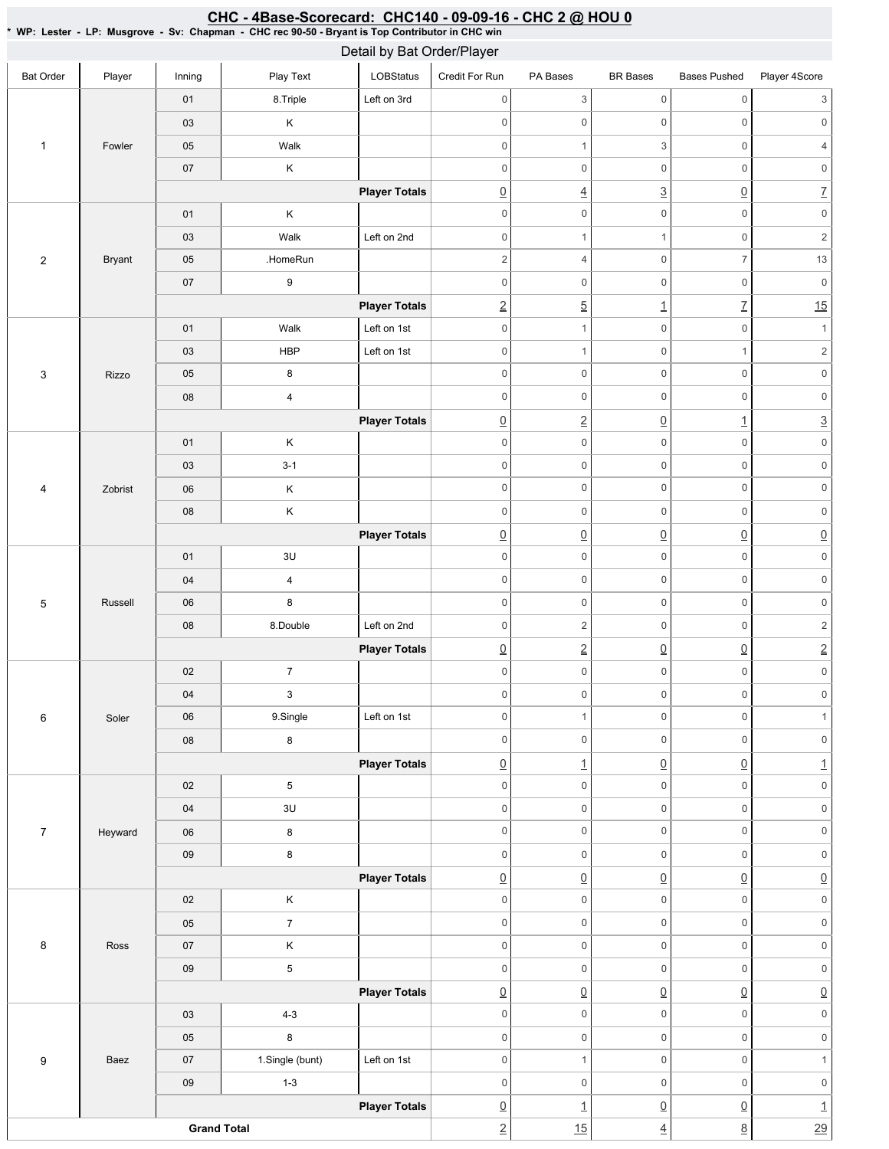| Detail by Bat Order/Player |               |                    |                         |                      |                     |                           |                           |                          |                          |  |  |  |  |
|----------------------------|---------------|--------------------|-------------------------|----------------------|---------------------|---------------------------|---------------------------|--------------------------|--------------------------|--|--|--|--|
| <b>Bat Order</b>           | Player        | Inning             | Play Text               | LOBStatus            | Credit For Run      | PA Bases                  | <b>BR</b> Bases           | <b>Bases Pushed</b>      | Player 4Score            |  |  |  |  |
|                            |               | 01                 | 8. Triple               | Left on 3rd          | $\mathbb O$         | $\ensuremath{\mathsf{3}}$ | $\mathsf{O}\xspace$       | $\mathbf 0$              | $\mathsf 3$              |  |  |  |  |
|                            |               | 03                 | $\mathsf K$             |                      | $\mathsf{O}\xspace$ | $\mathsf{O}\xspace$       | $\mathsf{O}\xspace$       | $\mathbf 0$              | $\mathsf{O}\xspace$      |  |  |  |  |
| $\mathbf{1}$               | Fowler        | 05                 | Walk                    |                      | $\mathsf{O}\xspace$ | $\mathbf{1}$              | $\ensuremath{\mathsf{3}}$ | $\mathbf 0$              | $\overline{4}$           |  |  |  |  |
|                            |               | 07                 | $\sf K$                 |                      | $\mathbf 0$         | $\mathsf{O}\xspace$       | $\mathsf 0$               | $\mathsf 0$              | $\mathsf{O}\xspace$      |  |  |  |  |
|                            |               |                    |                         | <b>Player Totals</b> | $\underline{0}$     | $\overline{4}$            | $\underline{3}$           | $\underline{0}$          | $\overline{L}$           |  |  |  |  |
|                            |               | 01                 | Κ                       |                      | $\mathbf 0$         | $\mathsf{O}\xspace$       | $\mathsf{O}\xspace$       | $\mathbf 0$              | $\mathsf{O}\xspace$      |  |  |  |  |
|                            |               | 03                 | Walk                    | Left on 2nd          | $\mathbf 0$         | $\mathbf{1}$              | $\mathbf{1}$              | $\mathbf 0$              | $\sqrt{2}$               |  |  |  |  |
| $\sqrt{2}$                 | <b>Bryant</b> | 05                 | .HomeRun                |                      | $\sqrt{2}$          | $\overline{4}$            | $\mathsf 0$               | $\overline{7}$           | 13                       |  |  |  |  |
|                            |               | $07$               | $\boldsymbol{9}$        |                      | $\mathbb O$         | $\mathsf{O}\xspace$       | $\mathsf{O}\xspace$       | $\mathbb O$              | $\mathsf{O}\xspace$      |  |  |  |  |
|                            |               |                    |                         | <b>Player Totals</b> | $\overline{2}$      | $\overline{5}$            | $\overline{1}$            | $\underline{7}$          | 15                       |  |  |  |  |
|                            |               | 01                 | Walk                    | Left on 1st          | $\mathsf{O}\xspace$ | $\mathbf{1}$              | $\mathsf{O}\xspace$       | $\mathbf 0$              | $\mathbf{1}$             |  |  |  |  |
|                            |               | 03                 | <b>HBP</b>              | Left on 1st          | $\mathbf 0$         | $\mathbf{1}$              | $\mathsf{O}\xspace$       | $\mathbf{1}$             | $\sqrt{2}$               |  |  |  |  |
| $\ensuremath{\mathsf{3}}$  | Rizzo         | 05                 | 8                       |                      | $\,0\,$             | $\mathsf{O}\xspace$       | $\mathsf 0$               | $\mathbb O$              | $\mathsf{O}\xspace$      |  |  |  |  |
|                            |               | 08                 | $\overline{\mathbf{4}}$ |                      | $\mathbf 0$         | $\mathsf{O}\xspace$       | $\mathsf 0$               | $\mathsf 0$              | $\mathsf{O}\xspace$      |  |  |  |  |
|                            |               |                    |                         | <b>Player Totals</b> | $\underline{0}$     | $\overline{2}$            | $\underline{0}$           | $\underline{\mathbf{1}}$ | $\overline{3}$           |  |  |  |  |
|                            |               | 01                 | $\sf K$                 |                      | $\mathbf 0$         | $\mathsf{O}\xspace$       | $\mathsf 0$               | $\mathbb O$              | $\mathsf{O}\xspace$      |  |  |  |  |
|                            |               | 03                 | $3 - 1$                 |                      | $\mathbb O$         | $\mathsf{O}\xspace$       | $\mathsf 0$               | $\mathsf 0$              | $\mathsf{O}\xspace$      |  |  |  |  |
| $\overline{4}$             | Zobrist       | 06                 | Κ                       |                      | $\mathbf 0$         | $\mathsf{O}\xspace$       | $\mathsf 0$               | $\mathsf 0$              | $\mathsf{O}\xspace$      |  |  |  |  |
|                            |               | ${\bf 08}$         | $\sf K$                 |                      | $\mathsf{O}\xspace$ | $\mathsf{O}\xspace$       | $\mathsf{O}\xspace$       | $\mathbf 0$              | $\mathsf{0}$             |  |  |  |  |
|                            |               |                    |                         | <b>Player Totals</b> | $\underline{0}$     | $\underline{0}$           | $\underline{0}$           | $\underline{0}$          | $\underline{0}$          |  |  |  |  |
| $\,$ 5 $\,$                |               | $01$               | 3U                      |                      | $\mathbb O$         | $\mathsf{O}\xspace$       | $\mathsf{O}\xspace$       | $\mathbb O$              | $\mathsf{O}\xspace$      |  |  |  |  |
|                            |               | 04                 | $\pmb{4}$               |                      | $\mathbf 0$         | $\mathsf{O}\xspace$       | $\mathsf{O}\xspace$       | $\mathsf 0$              | $\mathsf{O}\xspace$      |  |  |  |  |
|                            | Russell       | 06                 | $\bf8$                  |                      | $\mathbb O$         | $\mathsf{O}\xspace$       | $\mathsf{O}\xspace$       | $\mathbf 0$              | $\mathsf{O}\xspace$      |  |  |  |  |
|                            |               | 08                 | 8.Double                | Left on 2nd          | $\mathsf 0$         | $\overline{2}$            | $\mathsf 0$               | $\mathbf 0$              | $\sqrt{2}$               |  |  |  |  |
|                            |               |                    |                         | <b>Player Totals</b> | $\underline{0}$     | $\overline{2}$            | $\underline{0}$           | $\underline{0}$          | $\overline{2}$           |  |  |  |  |
|                            |               | $02\,$             | $\overline{7}$          |                      | $\mathbb O$         | $\mathsf{O}\xspace$       | 0                         | 0                        | $\mathsf{O}\xspace$      |  |  |  |  |
|                            |               | 04                 | 3                       |                      | $\overline{0}$      | $\overline{0}$            | $\overline{0}$            | $\overline{0}$           | 0                        |  |  |  |  |
| 6                          | Soler         | 06                 | 9.Single                | Left on 1st          | $\mathsf{O}\xspace$ | $\mathbf{1}$              | $\mathsf{O}\xspace$       | $\mathsf{O}\xspace$      | $\mathbf{1}$             |  |  |  |  |
|                            |               | ${\bf 08}$         | $\bf 8$                 |                      | $\mathbb O$         | $\mathsf{O}\xspace$       | $\mathsf{O}\xspace$       | $\mathbb O$              | $\mathbf 0$              |  |  |  |  |
|                            |               |                    |                         | <b>Player Totals</b> | $\underline{0}$     | $\overline{1}$            | $\underline{0}$           | $\underline{0}$          | $\underline{\mathbf{1}}$ |  |  |  |  |
|                            |               | $02\,$             | $\,$ 5 $\,$             |                      | $\mathsf{O}\xspace$ | $\mathsf{O}\xspace$       | $\mathsf{O}\xspace$       | $\mathsf{O}\xspace$      | $\mathsf{O}\xspace$      |  |  |  |  |
|                            |               | 04                 | 3U                      |                      | $\mathsf 0$         | $\mathsf{O}\xspace$       | $\mathsf{O}\xspace$       | $\mathbf 0$              | $\mathsf{O}\xspace$      |  |  |  |  |
| $\overline{7}$             | Heyward       | 06                 | $\bf 8$                 |                      | $\mathbb O$         | $\mathsf{O}\xspace$       | $\mathsf{O}\xspace$       | $\mathbf 0$              | $\mathsf{O}\xspace$      |  |  |  |  |
|                            |               | $09\,$             | $\bf 8$                 |                      | $\mathbb O$         | $\mathsf{O}\xspace$       | $\mathsf{O}\xspace$       | $\mathsf{O}\xspace$      | $\mathsf{O}\xspace$      |  |  |  |  |
|                            |               |                    |                         | <b>Player Totals</b> | $\underline{0}$     | $\underline{0}$           | $\underline{0}$           | $\underline{0}$          | $\underline{0}$          |  |  |  |  |
|                            |               | $02\,$             | Κ                       |                      | $\mathbb O$         | $\mathsf{O}\xspace$       | $\mathsf{O}\xspace$       | $\mathsf{O}\xspace$      | $\mathsf{O}\xspace$      |  |  |  |  |
|                            |               | 05                 | $\boldsymbol{7}$        |                      | $\mathsf{O}\xspace$ | $\mathsf{O}\xspace$       | $\mathsf{O}\xspace$       | $\mathsf{O}\xspace$      | $\mathsf{O}\xspace$      |  |  |  |  |
| $\bf 8$                    | Ross          | $07\,$             | $\mathsf K$             |                      | $\mathsf{O}\xspace$ | $\mathsf{O}\xspace$       | $\mathsf 0$               | $\mathbf 0$              | $\mathsf{0}$             |  |  |  |  |
|                            |               | $09\,$             | $\,$ 5 $\,$             |                      | $\mathsf{O}\xspace$ | $\mathsf{O}\xspace$       | $\mathsf{O}\xspace$       | $\mathsf{O}\xspace$      | $\mathsf{O}\xspace$      |  |  |  |  |
|                            |               |                    |                         | <b>Player Totals</b> | $\underline{0}$     | $\underline{0}$           | $\underline{0}$           | $\underline{0}$          | $\underline{0}$          |  |  |  |  |
|                            |               | 03                 | $4 - 3$                 |                      | $\mathsf{O}\xspace$ | $\mathsf{O}\xspace$       | $\mathsf{O}\xspace$       | $\mathbf 0$              | $\mathsf{O}\xspace$      |  |  |  |  |
|                            |               | $05\,$             | $\bf 8$                 |                      | $\mathbb O$         | $\mathsf{O}\xspace$       | $\mathsf{O}\xspace$       | $\mathsf{O}\xspace$      | $\mathsf{O}\xspace$      |  |  |  |  |
| $\boldsymbol{9}$           | Baez          | $07\,$             | 1.Single (bunt)         | Left on 1st          | $\mathbf 0$         | $\mathbf{1}$              | $\mathsf 0$               | $\mathbf 0$              | 1                        |  |  |  |  |
|                            |               | $09\,$             | $1 - 3$                 |                      | $\mathsf 0$         | $\mathsf{O}\xspace$       | $\mathsf 0$               | $\mathbf 0$              | $\mathsf{O}\xspace$      |  |  |  |  |
|                            |               |                    |                         | <b>Player Totals</b> | $\underline{0}$     | $\overline{1}$            | $\underline{0}$           | $\underline{0}$          | $\overline{1}$           |  |  |  |  |
|                            |               | <b>Grand Total</b> |                         |                      | $\overline{2}$      | 15                        | $\underline{4}$           | $\underline{8}$          | 29                       |  |  |  |  |

## <u>CHC - 4Base-Scorecard: CHC140 - 09-09-16 - CHC 2 @ HOU 0</u>

\*WP:Lester-LP:Musgrove-Sv:Chapman-CHCrec90-50-BryantisTopContributorinCHCwin